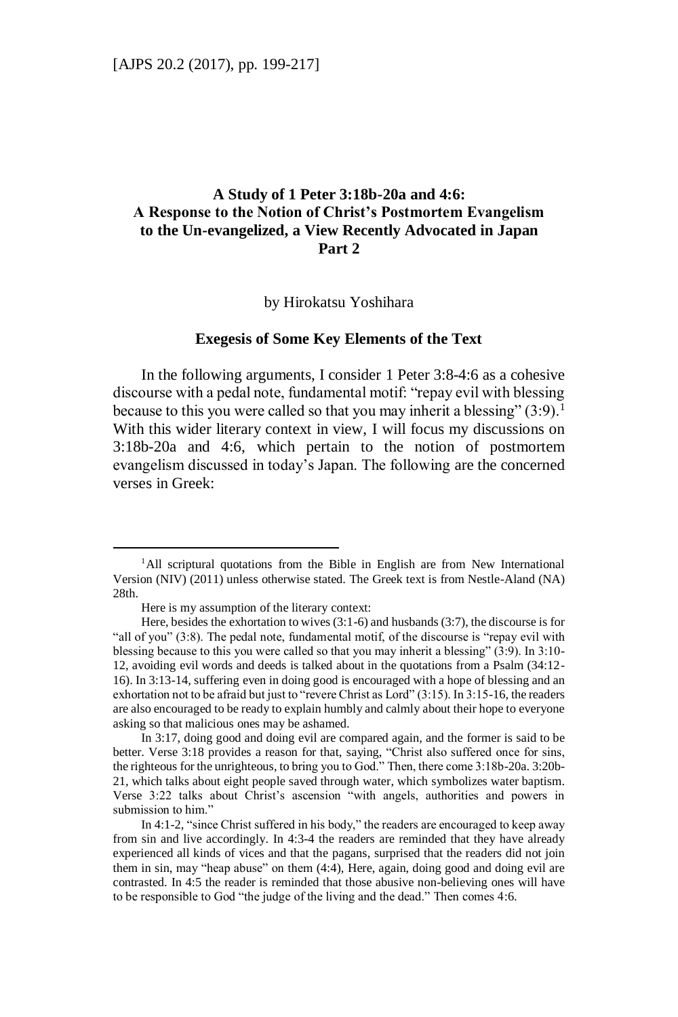# **A Study of 1 Peter 3:18b-20a and 4:6: A Response to the Notion of Christ's Postmortem Evangelism to the Un-evangelized, a View Recently Advocated in Japan Part 2**

by Hirokatsu Yoshihara

#### **Exegesis of Some Key Elements of the Text**

In the following arguments, I consider 1 Peter 3:8-4:6 as a cohesive discourse with a pedal note, fundamental motif: "repay evil with blessing because to this you were called so that you may inherit a blessing"  $(3:9)$ .<sup>1</sup> With this wider literary context in view, I will focus my discussions on 3:18b-20a and 4:6, which pertain to the notion of postmortem evangelism discussed in today's Japan. The following are the concerned verses in Greek:

<sup>&</sup>lt;sup>1</sup>All scriptural quotations from the Bible in English are from New International Version (NIV) (2011) unless otherwise stated. The Greek text is from Nestle-Aland (NA) 28th.

Here is my assumption of the literary context:

Here, besides the exhortation to wives (3:1-6) and husbands (3:7), the discourse is for "all of you" (3:8). The pedal note, fundamental motif, of the discourse is "repay evil with blessing because to this you were called so that you may inherit a blessing" (3:9). In 3:10- 12, avoiding evil words and deeds is talked about in the quotations from a Psalm (34:12- 16). In 3:13-14, suffering even in doing good is encouraged with a hope of blessing and an exhortation not to be afraid but just to "revere Christ as Lord" (3:15). In 3:15-16, the readers are also encouraged to be ready to explain humbly and calmly about their hope to everyone asking so that malicious ones may be ashamed.

In 3:17, doing good and doing evil are compared again, and the former is said to be better. Verse 3:18 provides a reason for that, saying, "Christ also suffered once for sins, the righteous for the unrighteous, to bring you to God." Then, there come 3:18b-20a. 3:20b-21, which talks about eight people saved through water, which symbolizes water baptism. Verse 3:22 talks about Christ's ascension "with angels, authorities and powers in submission to him."

In 4:1-2, "since Christ suffered in his body," the readers are encouraged to keep away from sin and live accordingly. In 4:3-4 the readers are reminded that they have already experienced all kinds of vices and that the pagans, surprised that the readers did not join them in sin, may "heap abuse" on them (4:4), Here, again, doing good and doing evil are contrasted. In 4:5 the reader is reminded that those abusive non-believing ones will have to be responsible to God "the judge of the living and the dead." Then comes 4:6.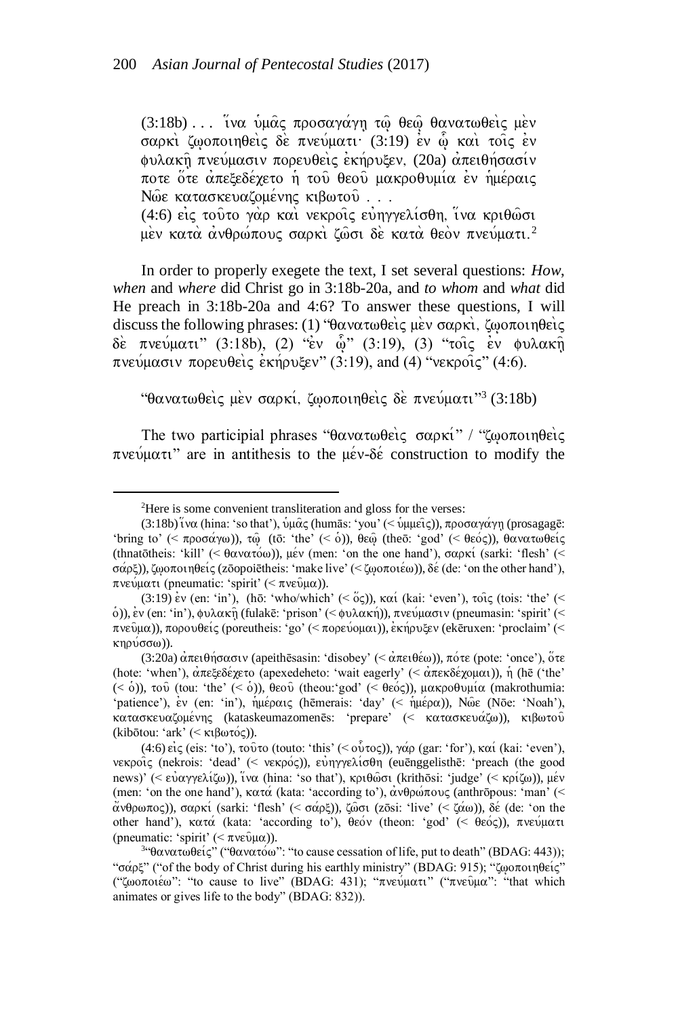(3:18b) ... iνα υμάς προσαγάγη τω θεώ θανατωθείς μεν σαρκι ζωοποιηθεις δε πνεύματι (3:19) εν ω και τοις εν φυλακή πνεύμασιν πορευθείς εκήρυξεν, (20a) απειθήσασίν ποτε ὄτε ἀπεξεδέχετο ἡ τοῦ θεοῦ μακροθυμία ἐν ἡμέραις Nώε κατασκευαζομένης κιβωτού...

(4:6) εις τούτο γάρ και νεκροίς ευηγγελίσθη, ίνα κριθώσι μέν κατά ανθρώπους σαρκί ζώσι δε κατά θεόν πνεύματι.<sup>2</sup>

In order to properly exegete the text, I set several questions: *How*, *when* and *where* did Christ go in 3:18b-20a, and *to whom* and *what* did He preach in 3:18b-20a and 4:6? To answer these questions, I will discuss the following phrases: (1) "θανατωθείς μεν σαρκί, ζωοποιηθείς δε πνεύματι" (3:18b), (2) "εν ώ" (3:19), (3) "τοις εν φυλακή  $\pi$ νεύμασιν πορευθεις εκήρυξεν" (3:19), and (4) "νεκροις" (4:6).

"θανατωθεὶς μὲν σαρκί, ζωοποιηθεὶς δὲ πνεύματι"<sup>3</sup> (3:18b)

The two participial phrases " $\theta \alpha \nu \alpha \tau \omega \theta \epsilon$   $\alpha \alpha \nu \kappa'$ " ( $\omega \sigma \tau \omega \eta \theta \epsilon$ )  $\pi$ νεύματι" are in antithesis to the μέν-δέ construction to modify the

<sup>2</sup>Here is some convenient transliteration and gloss for the verses:

<sup>(3:18</sup>b) ινα (hina: 'so that'), υμας (humās: 'you' (< υμμεις)), προσαγάγη (prosagagē: 'bring to' (<  $\pi \rho \sigma \alpha \gamma \omega$ )),  $\tau \hat{\omega}$  (tō: 'the' (< o)),  $\theta \epsilon \hat{\omega}$  (theo: 'god' (<  $\theta \epsilon \hat{\omega}$ ς)),  $\theta \alpha \nu \alpha \tau \omega \theta \epsilon \hat{\omega}$ (thnatōtheis: 'kill' (<  $\theta \alpha \nu \alpha \tau \omega$ )),  $\mu \epsilon \nu$  (men: 'on the one hand'),  $\sigma \alpha \rho \kappa'$  (sarki: 'flesh' (< σάρξ)), ζωοποιηθείς (zōopoiētheis: 'make live' (< ζωοποιέω)), δε (de: 'on the other hand'), πνεύματι (pneumatic: 'spirit' (< πνεύμα)).

<sup>(3:19)</sup> ev (en: 'in'), (hō: 'who/which' (<  $\tilde{o}$ ς)), και (kai: 'even'), τοις (tois: 'the' (< o)), εν (en: 'in'), φυλακῆ (fulakē: 'prison' (< φυλακή)), πνεύμασιν (pneumasin: 'spirit' (< πνεῦμα)), πορουθείς (poreutheis: 'go' (< πορεύομαι)), εκήρυξεν (ekēruxen: 'proclaim' (<  $κηρύσσω)$ ).

<sup>(3:20</sup>a) απειθήσασιν (apeithēsasin: 'disobey' (< απειθέω)), πότε (pote: 'once'), ότε (hote: 'when'),  $\alpha \pi \epsilon \xi \epsilon \delta \epsilon \chi \epsilon \tau$  (apexedeheto: 'wait eagerly' (<  $\alpha \pi \epsilon \kappa \delta \epsilon \chi$  ( $\alpha \mu \alpha$ )),  $\eta$  (hē ('the' (< ȯ)), του (tou: 'the' (< ȯ)), θεου (theou:'god' (< θεός)), μακροθυμία (makrothumia: 'patience'), ev (en: 'in'),  $\eta\mu\epsilon\rho\alpha\iota\zeta$  (hēmerais: 'day' (<  $\eta\mu\epsilon\rho\alpha$ )), Nose (Nōe: 'Noah'),  $\kappa\alpha\tau\alpha\sigma\kappa\epsilon\nu\alpha\zeta$ ομένης (kataskeumazomenēs: 'prepare' (< κατασκευάζω)), κιβωτού (kibōtou: 'ark' (< kibwtovV)).

<sup>(4:6)</sup> eig (eis: 'to'), to  $\hat{v}$  to (touto: 'this' (<  $\hat{v}(\hat{v}(\tau))$ ,  $\hat{v}(\tau)$  (gar: 'for'),  $\kappa \alpha'$  (kai: 'even'), νεκροίς (nekrois: 'dead' (< νεκρός)), εὐηγγελίσθη (euēnggelisthē: 'preach (the good news)' (< εύαγγελίζω)), ινα (hina: 'so that'), κριθώσι (krithōsi: 'judge' (< κρίζω)), μέν (men: 'on the one hand'),  $\kappa \alpha \tau \alpha$  (kata: 'according to'),  $\alpha \nu \theta \rho \omega \pi \nu \rho$  (anthropous: 'man' (<  $\alpha$ νθρωπος)), σαρκί (sarki: 'flesh' (< σάρξ)), ζωσι (zōsi: 'live' (< ζάω)), δε (de: 'on the other hand'), κατά (kata: 'according to'), θεόν (theon: 'god' (< θεός)), πνεύματι (pneumatic: 'spirit'  $( $\pi v \epsilon \hat{v} \mu \alpha$ )).$ 

<sup>&</sup>lt;sup>3</sup>"θανατωθείς" ("θανατόω": "to cause cessation of life, put to death" (BDAG: 443)); " $\sigma \alpha \rho \xi$ " ("of the body of Christ during his earthly ministry" (BDAG: 915); "ζωοποιηθείς" ("ζωοποιέω": "to cause to live" (BDAG: 431); "πνεύματι" ("πνεύμα": "that which animates or gives life to the body" (BDAG: 832)).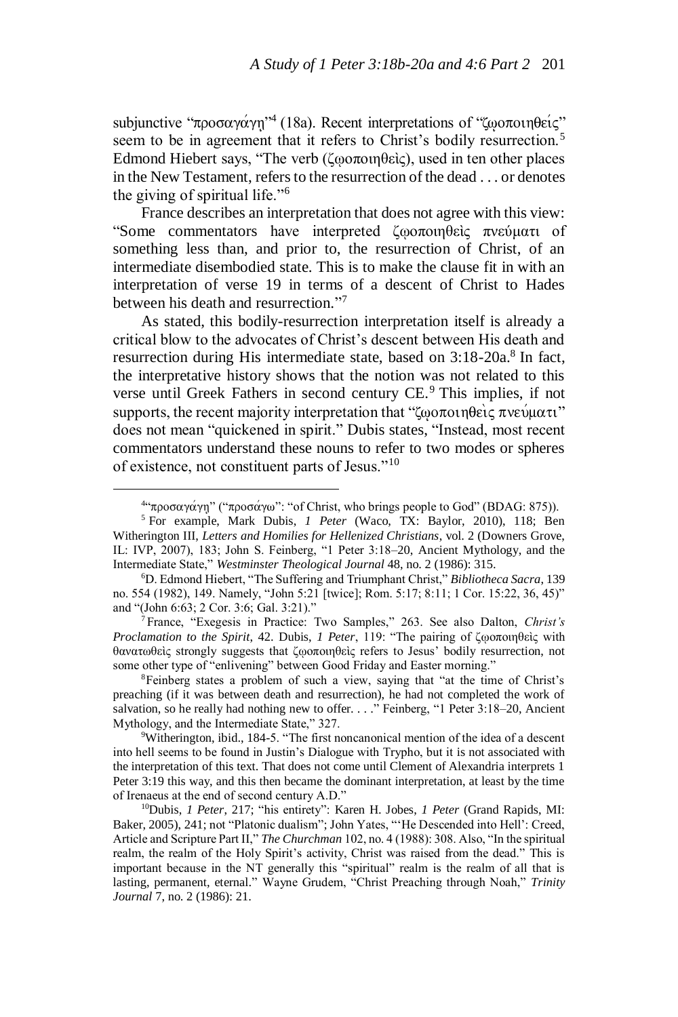subjunctive "προσαγάγη"<sup>4</sup> (18a). Recent interpretations of "ζωοποιηθείς" seem to be in agreement that it refers to Christ's bodily resurrection.<sup>5</sup> Edmond Hiebert says, "The verb (ζῳοποιηθεὶς), used in ten other places in the New Testament, refers to the resurrection of the dead . . . or denotes the giving of spiritual life."<sup>6</sup>

France describes an interpretation that does not agree with this view: "Some commentators have interpreted ζωοποιηθεὶς πνεύματι of something less than, and prior to, the resurrection of Christ, of an intermediate disembodied state. This is to make the clause fit in with an interpretation of verse 19 in terms of a descent of Christ to Hades between his death and resurrection."<sup>7</sup>

As stated, this bodily-resurrection interpretation itself is already a critical blow to the advocates of Christ's descent between His death and resurrection during His intermediate state, based on 3:18-20a.<sup>8</sup> In fact, the interpretative history shows that the notion was not related to this verse until Greek Fathers in second century CE.<sup>9</sup> This implies, if not supports, the recent majority interpretation that " $\zeta_{\omega}$   $\alpha$   $\alpha$ "  $\alpha$ "  $\alpha$ "  $\alpha$ "  $\alpha$ " does not mean "quickened in spirit." Dubis states, "Instead, most recent commentators understand these nouns to refer to two modes or spheres of existence, not constituent parts of Jesus."<sup>10</sup>

 $\overline{a}$ 

<sup>7</sup>France, "Exegesis in Practice: Two Samples," 263. See also Dalton, *Christ's Proclamation to the Spirit*, 42. Dubis, *1 Peter*, 119: "The pairing of ζῳοποιηθεὶς with θανατωθεὶς strongly suggests that ζῳοποιηθεὶς refers to Jesus' bodily resurrection, not some other type of "enlivening" between Good Friday and Easter morning."

<sup>8</sup>Feinberg states a problem of such a view, saying that "at the time of Christ's preaching (if it was between death and resurrection), he had not completed the work of salvation, so he really had nothing new to offer. . . ." Feinberg, "1 Peter 3:18–20, Ancient Mythology, and the Intermediate State," 327.

<sup>9</sup>Witherington, ibid., 184-5. "The first noncanonical mention of the idea of a descent into hell seems to be found in Justin's Dialogue with Trypho, but it is not associated with the interpretation of this text. That does not come until Clement of Alexandria interprets 1 Peter 3:19 this way, and this then became the dominant interpretation, at least by the time of Irenaeus at the end of second century A.D."

<sup>&</sup>lt;sup>4</sup> προσαγάγη" ("προσάγω": "of Christ, who brings people to God" (BDAG: 875)).

<sup>5</sup> For example, Mark Dubis, *1 Peter* (Waco, TX: Baylor, 2010), 118; Ben Witherington III, *Letters and Homilies for Hellenized Christians*, vol. 2 (Downers Grove, IL: IVP, 2007), 183; John S. Feinberg, "1 Peter 3:18–20, Ancient Mythology, and the Intermediate State," *Westminster Theological Journal* 48, no. 2 (1986): 315.

<sup>6</sup>D. Edmond Hiebert, "The Suffering and Triumphant Christ," *Bibliotheca Sacra*, 139 no. 554 (1982), 149. Namely, "John 5:21 [twice]; Rom. 5:17; 8:11; 1 Cor. 15:22, 36, 45)" and "(John 6:63; 2 Cor. 3:6; Gal. 3:21)."

<sup>10</sup>Dubis, *1 Peter*, 217; "his entirety": Karen H. Jobes, *1 Peter* (Grand Rapids, MI: Baker, 2005), 241; not "Platonic dualism"; John Yates, "'He Descended into Hell': Creed, Article and Scripture Part II," *The Churchman* 102, no. 4 (1988): 308. Also, "In the spiritual realm, the realm of the Holy Spirit's activity, Christ was raised from the dead." This is important because in the NT generally this "spiritual" realm is the realm of all that is lasting, permanent, eternal." Wayne Grudem, "Christ Preaching through Noah," *Trinity Journal* 7, no. 2 (1986): 21.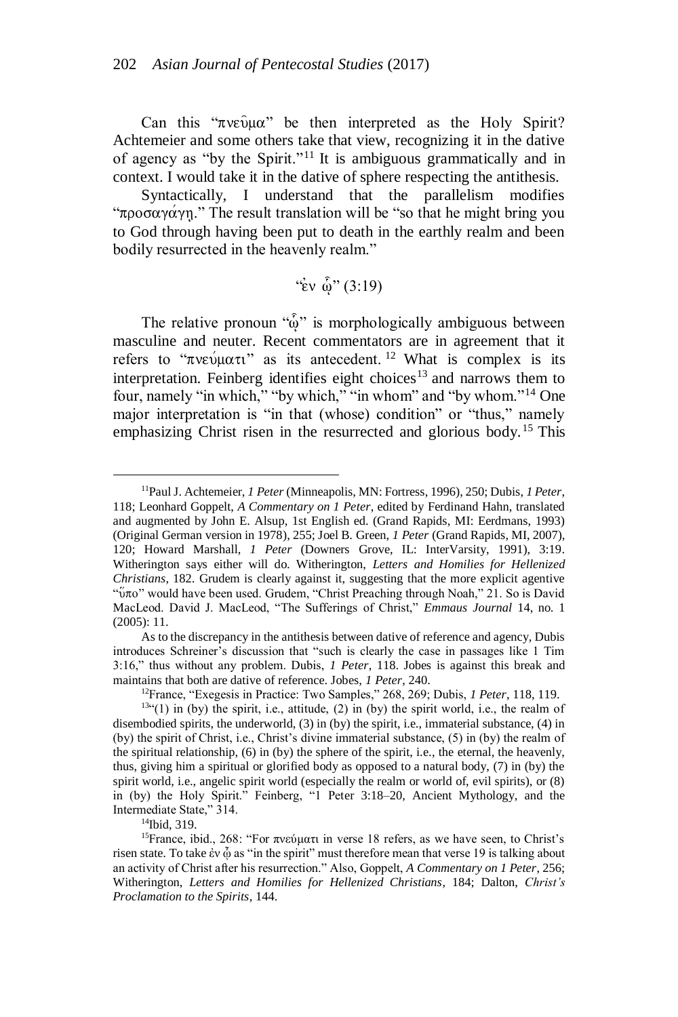Can this " $\pi$ ve $\hat{v}$ μα" be then interpreted as the Holy Spirit? Achtemeier and some others take that view, recognizing it in the dative of agency as "by the Spirit."<sup>11</sup> It is ambiguous grammatically and in context. I would take it in the dative of sphere respecting the antithesis.

Syntactically, I understand that the parallelism modifies " $\pi$ po $\sigma$  $\alpha$  $\gamma$  $\alpha$ "." The result translation will be "so that he might bring you to God through having been put to death in the earthly realm and been bodily resurrected in the heavenly realm."

 $\mathcal{L}_{\text{EV}}$   $\hat{\omega}$ " (3:19)

The relative pronoun " $\hat{\omega}$ " is morphologically ambiguous between masculine and neuter. Recent commentators are in agreement that it refers to " $\pi$ νεύματι" as its antecedent. <sup>12</sup> What is complex is its interpretation. Feinberg identifies eight choices<sup>13</sup> and narrows them to four, namely "in which," "by which," "in whom" and "by whom."<sup>14</sup> One major interpretation is "in that (whose) condition" or "thus," namely emphasizing Christ risen in the resurrected and glorious body.<sup>15</sup> This

As to the discrepancy in the antithesis between dative of reference and agency, Dubis introduces Schreiner's discussion that "such is clearly the case in passages like 1 Tim 3:16," thus without any problem. Dubis, *1 Peter*, 118. Jobes is against this break and maintains that both are dative of reference. Jobes, *1 Peter*, 240.

<sup>12</sup>France, "Exegesis in Practice: Two Samples," 268, 269; Dubis, *1 Peter*, 118, 119.

<sup>14</sup>Ibid, 319.

 $\overline{a}$ <sup>11</sup>Paul J. Achtemeier, *1 Peter* (Minneapolis, MN: Fortress, 1996), 250; Dubis, *1 Peter*, 118; Leonhard Goppelt, *A Commentary on 1 Peter*, edited by Ferdinand Hahn, translated and augmented by John E. Alsup, 1st English ed. (Grand Rapids, MI: Eerdmans, 1993) (Original German version in 1978), 255; Joel B. Green, *1 Peter* (Grand Rapids, MI, 2007), 120; Howard Marshall, *1 Peter* (Downers Grove, IL: InterVarsity, 1991), 3:19. Witherington says either will do. Witherington, *Letters and Homilies for Hellenized Christians*, 182. Grudem is clearly against it, suggesting that the more explicit agentive "ύπο" would have been used. Grudem, "Christ Preaching through Noah," 21. So is David MacLeod. David J. MacLeod, "The Sufferings of Christ," *Emmaus Journal* 14, no. 1 (2005): 11.

 $13$ <sup>434</sup>(1) in (by) the spirit, i.e., attitude, (2) in (by) the spirit world, i.e., the realm of disembodied spirits, the underworld, (3) in (by) the spirit, i.e., immaterial substance, (4) in (by) the spirit of Christ, i.e., Christ's divine immaterial substance, (5) in (by) the realm of the spiritual relationship, (6) in (by) the sphere of the spirit, i.e., the eternal, the heavenly, thus, giving him a spiritual or glorified body as opposed to a natural body, (7) in (by) the spirit world, i.e., angelic spirit world (especially the realm or world of, evil spirits), or (8) in (by) the Holy Spirit." Feinberg, "1 Peter 3:18–20, Ancient Mythology, and the Intermediate State," 314.

<sup>15</sup>France, ibid., 268: "For πνεύματι in verse 18 refers, as we have seen, to Christ's risen state. To take ἐν ᾧ as "in the spirit" must therefore mean that verse 19 is talking about an activity of Christ after his resurrection." Also, Goppelt, *A Commentary on 1 Peter*, 256; Witherington, *Letters and Homilies for Hellenized Christians*, 184; Dalton, *Christ's Proclamation to the Spirits*, 144.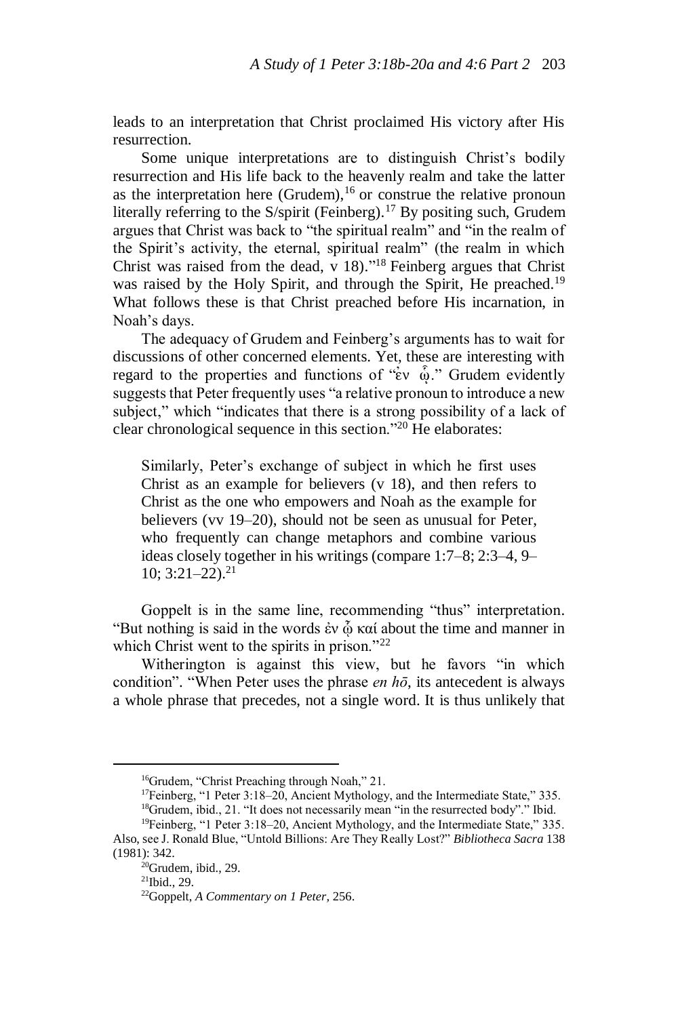leads to an interpretation that Christ proclaimed His victory after His resurrection.

Some unique interpretations are to distinguish Christ's bodily resurrection and His life back to the heavenly realm and take the latter as the interpretation here (Grudem),  $16$  or construe the relative pronoun literally referring to the S/spirit (Feinberg).<sup>17</sup> By positing such, Grudem argues that Christ was back to "the spiritual realm" and "in the realm of the Spirit's activity, the eternal, spiritual realm" (the realm in which Christ was raised from the dead, v 18)." <sup>18</sup> Feinberg argues that Christ was raised by the Holy Spirit, and through the Spirit, He preached.<sup>19</sup> What follows these is that Christ preached before His incarnation, in Noah's days.

The adequacy of Grudem and Feinberg's arguments has to wait for discussions of other concerned elements. Yet, these are interesting with regard to the properties and functions of " $\epsilon v \delta$ ." Grudem evidently suggests that Peter frequently uses "a relative pronoun to introduce a new subject," which "indicates that there is a strong possibility of a lack of clear chronological sequence in this section."<sup>20</sup> He elaborates:

Similarly, Peter's exchange of subject in which he first uses Christ as an example for believers (v 18), and then refers to Christ as the one who empowers and Noah as the example for believers (vv 19–20), should not be seen as unusual for Peter, who frequently can change metaphors and combine various ideas closely together in his writings (compare 1:7–8; 2:3–4, 9–  $10$ ;  $3:21-22$ ).<sup>21</sup>

Goppelt is in the same line, recommending "thus" interpretation. "But nothing is said in the words ἐν φ καί about the time and manner in which Christ went to the spirits in prison."<sup>22</sup>

Witherington is against this view, but he favors "in which condition". "When Peter uses the phrase *en hō*, its antecedent is always a whole phrase that precedes, not a single word. It is thus unlikely that

<sup>&</sup>lt;sup>16</sup>Grudem, "Christ Preaching through Noah," 21.

<sup>&</sup>lt;sup>17</sup>Feinberg, "1 Peter 3:18–20, Ancient Mythology, and the Intermediate State," 335.  $18$ Grudem, ibid., 21. "It does not necessarily mean "in the resurrected body"." Ibid.

<sup>19</sup>Feinberg, "1 Peter 3:18–20, Ancient Mythology, and the Intermediate State," 335. Also, see J. Ronald Blue, "Untold Billions: Are They Really Lost?" *Bibliotheca Sacra* 138 (1981): 342.

<sup>20</sup>Grudem, ibid., 29.

<sup>21</sup>Ibid., 29.

<sup>22</sup>Goppelt, *A Commentary on 1 Peter*, 256.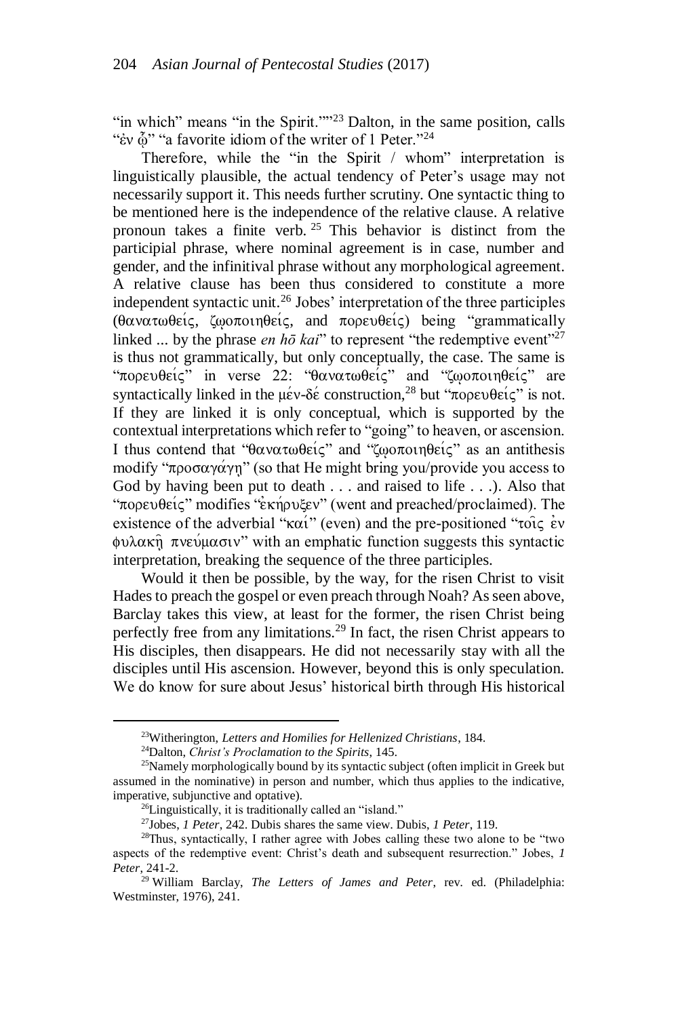"in which" means "in the Spirit.""<sup>23</sup> Dalton, in the same position, calls "έν ὦ" "a favorite idiom of the writer of 1 Peter."<sup>24</sup>

Therefore, while the "in the Spirit / whom" interpretation is linguistically plausible, the actual tendency of Peter's usage may not necessarily support it. This needs further scrutiny. One syntactic thing to be mentioned here is the independence of the relative clause. A relative pronoun takes a finite verb. <sup>25</sup> This behavior is distinct from the participial phrase, where nominal agreement is in case, number and gender, and the infinitival phrase without any morphological agreement. A relative clause has been thus considered to constitute a more independent syntactic unit.<sup>26</sup> Jobes' interpretation of the three participles ( $\theta \alpha \nu \alpha \tau \omega \theta \epsilon$  is,  $\zeta \omega \sigma \pi \omega \eta \theta \epsilon$  is, and  $\pi \omega \rho \epsilon$  is being "grammatically linked ... by the phrase *en hō kai*" to represent "the redemptive event"<sup>27</sup> is thus not grammatically, but only conceptually, the case. The same is "πορευθείς" in verse 22: "θανατωθείς" and "ζωοποιηθείς" are syntactically linked in the  $\mu \epsilon v$ - $\delta \epsilon$  construction,<sup>28</sup> but " $\pi \rho \rho \epsilon v \theta \epsilon i \zeta$ " is not. If they are linked it is only conceptual, which is supported by the contextual interpretations which refer to "going" to heaven, or ascension. I thus contend that " $\theta \alpha \nu \alpha \tau \omega \theta \varepsilon \zeta$ " and " $\zeta \omega \sigma \tau \omega \eta \theta \varepsilon \zeta \zeta$ " as an antithesis modify "προσαγάγη" (so that He might bring you/provide you access to God by having been put to death . . . and raised to life . . .). Also that " $\pi$ ορευθείς" modifies "εκήρυξεν" (went and preached/proclaimed). The existence of the adverbial " $\kappa \alpha i$ " (even) and the pre-positioned "to  $\iota$  even  $\phi$ υλακή πνεύμασιν" with an emphatic function suggests this syntactic interpretation, breaking the sequence of the three participles.

Would it then be possible, by the way, for the risen Christ to visit Hades to preach the gospel or even preach through Noah? As seen above, Barclay takes this view, at least for the former, the risen Christ being perfectly free from any limitations.<sup>29</sup> In fact, the risen Christ appears to His disciples, then disappears. He did not necessarily stay with all the disciples until His ascension. However, beyond this is only speculation. We do know for sure about Jesus' historical birth through His historical

<sup>23</sup>Witherington, *Letters and Homilies for Hellenized Christians*, 184.

<sup>24</sup>Dalton, *Christ's Proclamation to the Spirits*, 145.

 $25$ Namely morphologically bound by its syntactic subject (often implicit in Greek but assumed in the nominative) in person and number, which thus applies to the indicative, imperative, subjunctive and optative).

 $^{26}$ Linguistically, it is traditionally called an "island."

<sup>27</sup>Jobes, *1 Peter*, 242. Dubis shares the same view. Dubis, *1 Peter*, 119.

<sup>28</sup>Thus, syntactically, I rather agree with Jobes calling these two alone to be "two aspects of the redemptive event: Christ's death and subsequent resurrection." Jobes, *1 Peter*, 241-2.

<sup>29</sup> William Barclay, *The Letters of James and Peter*, rev. ed. (Philadelphia: Westminster, 1976), 241.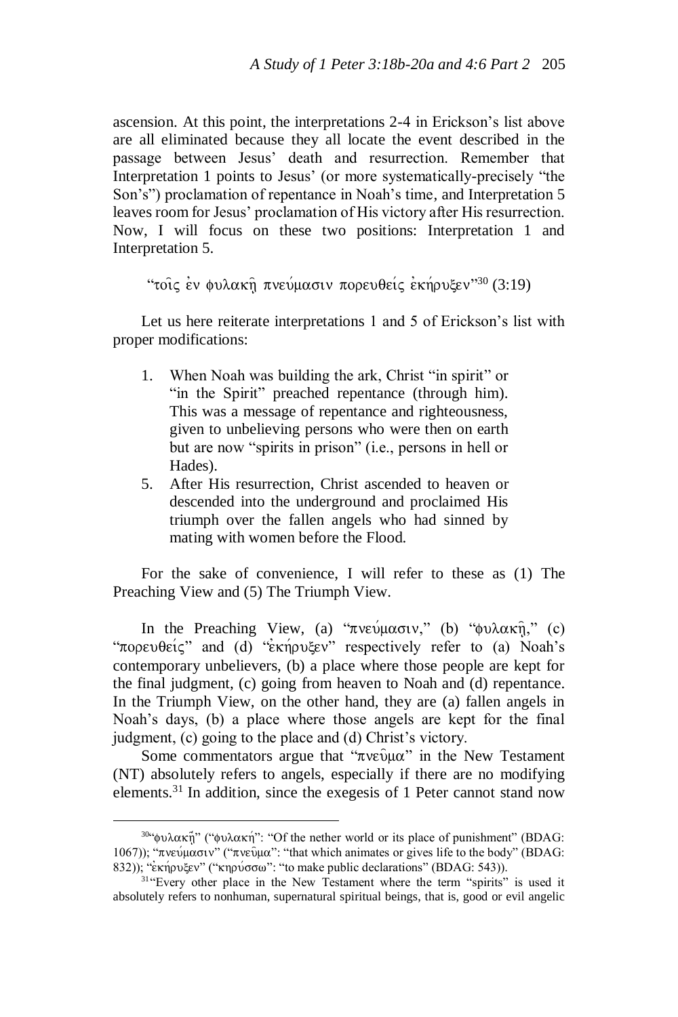ascension. At this point, the interpretations 2-4 in Erickson's list above are all eliminated because they all locate the event described in the passage between Jesus' death and resurrection. Remember that Interpretation 1 points to Jesus' (or more systematically-precisely "the Son's") proclamation of repentance in Noah's time, and Interpretation 5 leaves room for Jesus' proclamation of His victory after His resurrection. Now, I will focus on these two positions: Interpretation 1 and Interpretation 5.

```
"τοις ἐν φυλακῆ πνεύμασιν πορευθείς ἐκήρυξεν"<sup>30</sup> (3:19)
```
Let us here reiterate interpretations 1 and 5 of Erickson's list with proper modifications:

- 1. When Noah was building the ark, Christ "in spirit" or "in the Spirit" preached repentance (through him). This was a message of repentance and righteousness, given to unbelieving persons who were then on earth but are now "spirits in prison" (i.e., persons in hell or Hades).
- 5. After His resurrection, Christ ascended to heaven or descended into the underground and proclaimed His triumph over the fallen angels who had sinned by mating with women before the Flood.

For the sake of convenience, I will refer to these as (1) The Preaching View and (5) The Triumph View.

In the Preaching View, (a) " $\pi$ νεύμασιν," (b) "φυλακή," (c) " $\pi$ 0 $\rho \epsilon \psi \theta \epsilon i \zeta$ " and (d) " $\epsilon$ kn $\rho \psi \epsilon \epsilon \psi$ " respectively refer to (a) Noah's contemporary unbelievers, (b) a place where those people are kept for the final judgment, (c) going from heaven to Noah and (d) repentance. In the Triumph View, on the other hand, they are (a) fallen angels in Noah's days, (b) a place where those angels are kept for the final judgment, (c) going to the place and (d) Christ's victory.

Some commentators argue that " $\pi$ νεῦμα" in the New Testament (NT) absolutely refers to angels, especially if there are no modifying elements.<sup>31</sup> In addition, since the exegesis of 1 Peter cannot stand now

<sup>&</sup>lt;sup>30</sup>"φυλακῆ" ("φυλακή": "Of the nether world or its place of punishment" (BDAG: 1067)); "πνεύμασιν" ("πνεύμα": "that which animates or gives life to the body" (BDAG: 832)); "εκήρυξεν" ("κηρύσσω": "to make public declarations" (BDAG: 543)).

<sup>&</sup>lt;sup>31</sup> 'Every other place in the New Testament where the term "spirits" is used it absolutely refers to nonhuman, supernatural spiritual beings, that is, good or evil angelic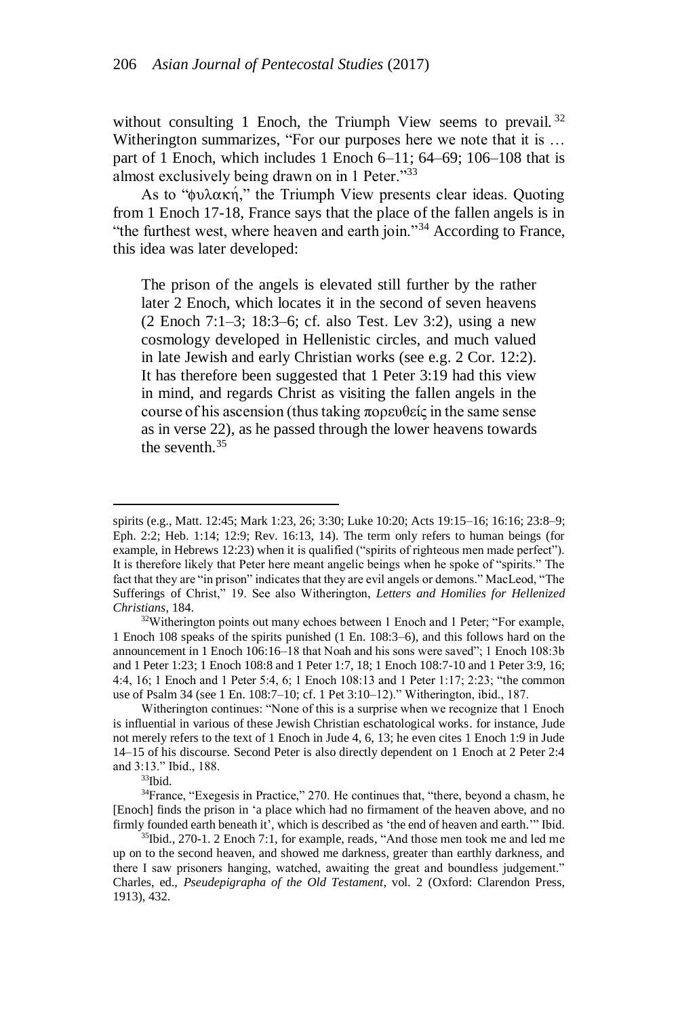without consulting 1 Enoch, the Triumph View seems to prevail.  $32$ Witherington summarizes, "For our purposes here we note that it is ... part of 1 Enoch, which includes 1 Enoch 6–11; 64–69; 106–108 that is almost exclusively being drawn on in 1 Peter."<sup>33</sup>

As to " $\phi$ υλακή," the Triumph View presents clear ideas. Quoting from 1 Enoch 17-18, France says that the place of the fallen angels is in "the furthest west, where heaven and earth join."<sup>34</sup> According to France, this idea was later developed:

The prison of the angels is elevated still further by the rather later 2 Enoch, which locates it in the second of seven heavens (2 Enoch 7:1–3; 18:3–6; cf. also Test. Lev 3:2), using a new cosmology developed in Hellenistic circles, and much valued in late Jewish and early Christian works (see e.g. 2 Cor. 12:2). It has therefore been suggested that 1 Peter 3:19 had this view in mind, and regards Christ as visiting the fallen angels in the course of his ascension (thus taking πορευθείς in the same sense as in verse 22), as he passed through the lower heavens towards the seventh.<sup>35</sup>

<sup>32</sup>Witherington points out many echoes between 1 Enoch and 1 Peter; "For example, 1 Enoch 108 speaks of the spirits punished (1 En. 108:3–6), and this follows hard on the announcement in 1 Enoch 106:16–18 that Noah and his sons were saved"; 1 Enoch 108:3b and 1 Peter 1:23; 1 Enoch 108:8 and 1 Peter 1:7, 18; 1 Enoch 108:7-10 and 1 Peter 3:9, 16; 4:4, 16; 1 Enoch and 1 Peter 5:4, 6; 1 Enoch 108:13 and 1 Peter 1:17; 2:23; "the common use of Psalm 34 (see 1 En. 108:7–10; cf. 1 Pet 3:10–12)." Witherington, ibid., 187.

spirits (e.g., Matt. 12:45; Mark 1:23, 26; 3:30; Luke 10:20; Acts 19:15–16; 16:16; 23:8–9; Eph. 2:2; Heb. 1:14; 12:9; Rev. 16:13, 14). The term only refers to human beings (for example, in Hebrews 12:23) when it is qualified ("spirits of righteous men made perfect"). It is therefore likely that Peter here meant angelic beings when he spoke of "spirits." The fact that they are "in prison" indicates that they are evil angels or demons." MacLeod, "The Sufferings of Christ," 19. See also Witherington, *Letters and Homilies for Hellenized Christians*, 184.

Witherington continues: "None of this is a surprise when we recognize that 1 Enoch is influential in various of these Jewish Christian eschatological works. for instance, Jude not merely refers to the text of 1 Enoch in Jude 4, 6, 13; he even cites 1 Enoch 1:9 in Jude 14–15 of his discourse. Second Peter is also directly dependent on 1 Enoch at 2 Peter 2:4 and 3:13." Ibid., 188.

 $33$ Ibid.

<sup>&</sup>lt;sup>34</sup>France, "Exegesis in Practice," 270. He continues that, "there, beyond a chasm, he [Enoch] finds the prison in 'a place which had no firmament of the heaven above, and no firmly founded earth beneath it', which is described as 'the end of heaven and earth.'" Ibid.

<sup>35</sup>Ibid., 270-1. 2 Enoch 7:1, for example, reads, "And those men took me and led me up on to the second heaven, and showed me darkness, greater than earthly darkness, and there I saw prisoners hanging, watched, awaiting the great and boundless judgement." Charles, ed., *Pseudepigrapha of the Old Testament*, vol. 2 (Oxford: Clarendon Press, 1913), 432.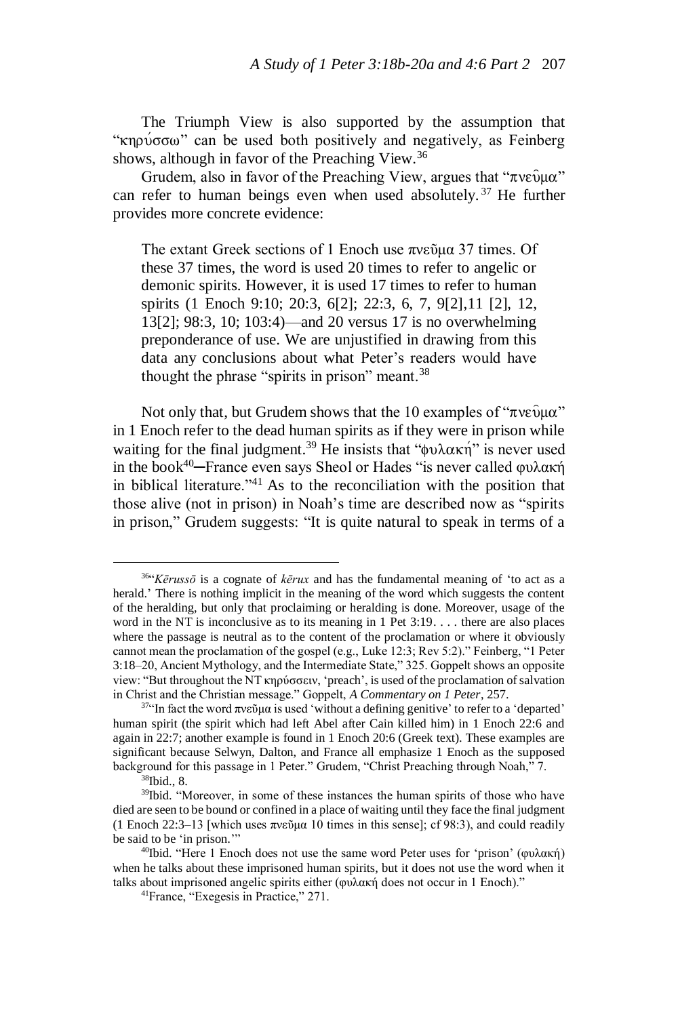The Triumph View is also supported by the assumption that "κηρύσσω" can be used both positively and negatively, as Feinberg shows, although in favor of the Preaching View.<sup>36</sup>

Grudem, also in favor of the Preaching View, argues that " $\pi$ νεῦμα" can refer to human beings even when used absolutely. <sup>37</sup> He further provides more concrete evidence:

The extant Greek sections of 1 Enoch use πνεῦμα 37 times. Of these 37 times, the word is used 20 times to refer to angelic or demonic spirits. However, it is used 17 times to refer to human spirits (1 Enoch 9:10; 20:3, 6[2]; 22:3, 6, 7, 9[2],11 [2], 12, 13[2]; 98:3, 10; 103:4)—and 20 versus 17 is no overwhelming preponderance of use. We are unjustified in drawing from this data any conclusions about what Peter's readers would have thought the phrase "spirits in prison" meant.<sup>38</sup>

Not only that, but Grudem shows that the 10 examples of " $\pi$ νεῦμα" in 1 Enoch refer to the dead human spirits as if they were in prison while waiting for the final judgment.<sup>39</sup> He insists that " $\phi \nu \lambda \alpha \kappa \eta$ " is never used in the book<sup>40</sup>─France even says Sheol or Hades "is never called φυλακή in biblical literature."<sup>41</sup> As to the reconciliation with the position that those alive (not in prison) in Noah's time are described now as "spirits in prison," Grudem suggests: "It is quite natural to speak in terms of a

<sup>36</sup> "*Kērussō* is a cognate of *kērux* and has the fundamental meaning of 'to act as a herald.' There is nothing implicit in the meaning of the word which suggests the content of the heralding, but only that proclaiming or heralding is done. Moreover, usage of the word in the NT is inconclusive as to its meaning in 1 Pet 3:19. . . . there are also places where the passage is neutral as to the content of the proclamation or where it obviously cannot mean the proclamation of the gospel (e.g., Luke 12:3; Rev 5:2)." Feinberg, "1 Peter 3:18–20, Ancient Mythology, and the Intermediate State," 325. Goppelt shows an opposite view: "But throughout the NT κηρύσσειν, 'preach', is used of the proclamation of salvation in Christ and the Christian message." Goppelt, *A Commentary on 1 Peter*, 257.

<sup>&</sup>lt;sup>37"</sup>In fact the word πνεῦμα is used 'without a defining genitive' to refer to a 'departed' human spirit (the spirit which had left Abel after Cain killed him) in 1 Enoch 22:6 and again in 22:7; another example is found in 1 Enoch 20:6 (Greek text). These examples are significant because Selwyn, Dalton, and France all emphasize 1 Enoch as the supposed background for this passage in 1 Peter." Grudem, "Christ Preaching through Noah," 7.

<sup>38</sup>Ibid., 8.

<sup>&</sup>lt;sup>39</sup>Ibid. "Moreover, in some of these instances the human spirits of those who have died are seen to be bound or confined in a place of waiting until they face the final judgment (1 Enoch 22:3–13 [which uses  $\pi v \in \mathfrak{D} \mu \alpha$  10 times in this sense]; cf 98:3), and could readily be said to be 'in prison.'"

<sup>&</sup>lt;sup>40</sup>Ibid. "Here 1 Enoch does not use the same word Peter uses for 'prison' (φυλακή) when he talks about these imprisoned human spirits, but it does not use the word when it talks about imprisoned angelic spirits either (φυλακή does not occur in 1 Enoch)."

<sup>41</sup>France, "Exegesis in Practice," 271.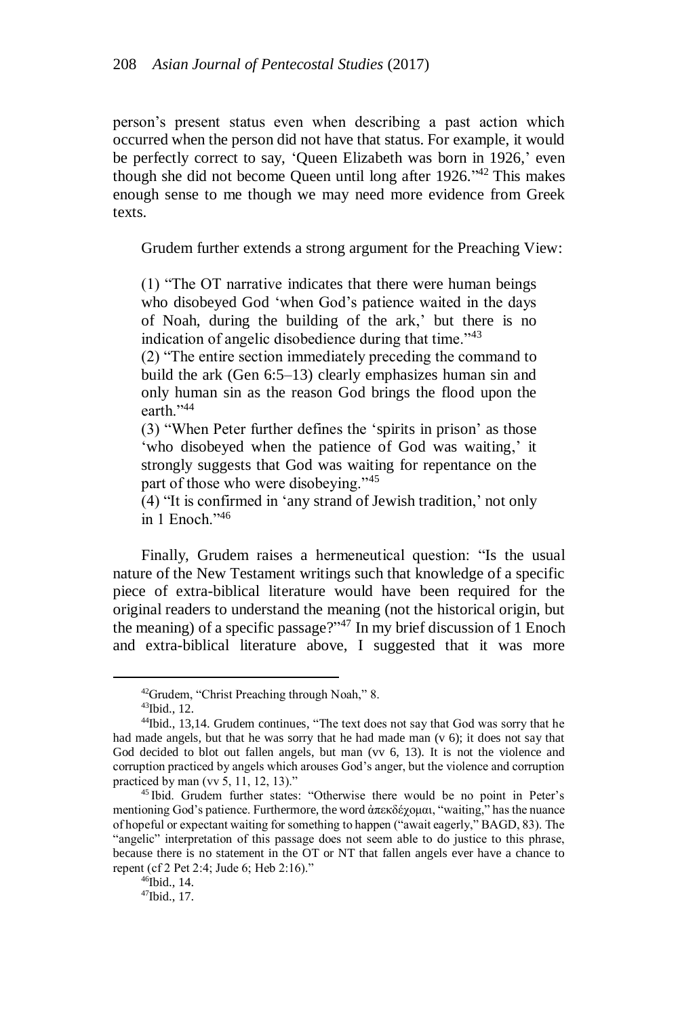person's present status even when describing a past action which occurred when the person did not have that status. For example, it would be perfectly correct to say, 'Queen Elizabeth was born in 1926,' even though she did not become Queen until long after 1926." <sup>42</sup> This makes enough sense to me though we may need more evidence from Greek texts.

Grudem further extends a strong argument for the Preaching View:

(1) "The OT narrative indicates that there were human beings who disobeyed God 'when God's patience waited in the days of Noah, during the building of the ark,' but there is no indication of angelic disobedience during that time."<sup>43</sup>

(2) "The entire section immediately preceding the command to build the ark (Gen 6:5–13) clearly emphasizes human sin and only human sin as the reason God brings the flood upon the earth<sup>"44</sup>

(3) "When Peter further defines the 'spirits in prison' as those 'who disobeyed when the patience of God was waiting,' it strongly suggests that God was waiting for repentance on the part of those who were disobeying."<sup>45</sup>

(4) "It is confirmed in 'any strand of Jewish tradition,' not only in  $1$  Enoch<sup> $,46$ </sup>

Finally, Grudem raises a hermeneutical question: "Is the usual nature of the New Testament writings such that knowledge of a specific piece of extra-biblical literature would have been required for the original readers to understand the meaning (not the historical origin, but the meaning) of a specific passage?" <sup>47</sup> In my brief discussion of 1 Enoch and extra-biblical literature above, I suggested that it was more

<sup>&</sup>lt;sup>42</sup>Grudem, "Christ Preaching through Noah," 8.

<sup>43</sup>Ibid., 12.

<sup>44</sup>Ibid., 13,14. Grudem continues, "The text does not say that God was sorry that he had made angels, but that he was sorry that he had made man (v 6); it does not say that God decided to blot out fallen angels, but man (vv 6, 13). It is not the violence and corruption practiced by angels which arouses God's anger, but the violence and corruption practiced by man (vv 5, 11, 12, 13)."

<sup>45</sup> Ibid. Grudem further states: "Otherwise there would be no point in Peter's mentioning God's patience. Furthermore, the word ἀπεκδέχομαι, "waiting," has the nuance of hopeful or expectant waiting for something to happen ("await eagerly," BAGD, 83). The "angelic" interpretation of this passage does not seem able to do justice to this phrase, because there is no statement in the OT or NT that fallen angels ever have a chance to repent (cf 2 Pet 2:4; Jude 6; Heb 2:16)."

 $46$ Ibid., 14.

<sup>47</sup>Ibid., 17.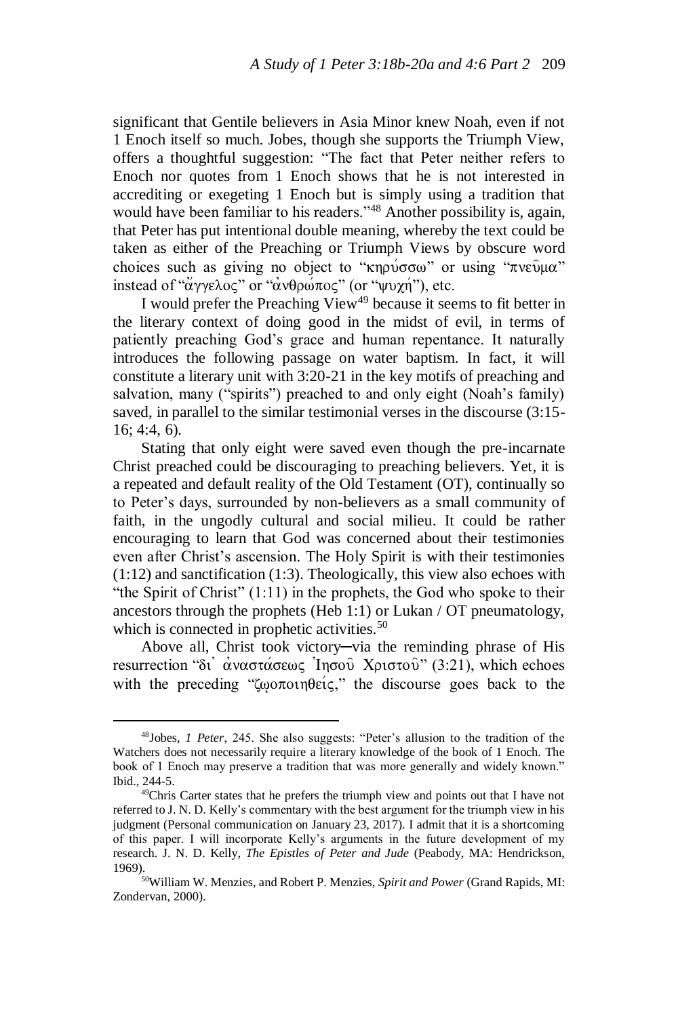significant that Gentile believers in Asia Minor knew Noah, even if not 1 Enoch itself so much. Jobes, though she supports the Triumph View, offers a thoughtful suggestion: "The fact that Peter neither refers to Enoch nor quotes from 1 Enoch shows that he is not interested in accrediting or exegeting 1 Enoch but is simply using a tradition that would have been familiar to his readers."<sup>48</sup> Another possibility is, again, that Peter has put intentional double meaning, whereby the text could be taken as either of the Preaching or Triumph Views by obscure word choices such as giving no object to " $\kappa$ ηρύσσω" or using "πνεύμα" instead of " $\alpha$  $\gamma \gamma \epsilon \lambda \sigma \zeta$ " or " $\alpha \nu \theta \rho \omega \pi \sigma \zeta$ " (or "yv $\chi$ n $\gamma$ "), etc.

I would prefer the Preaching View<sup>49</sup> because it seems to fit better in the literary context of doing good in the midst of evil, in terms of patiently preaching God's grace and human repentance. It naturally introduces the following passage on water baptism. In fact, it will constitute a literary unit with 3:20-21 in the key motifs of preaching and salvation, many ("spirits") preached to and only eight (Noah's family) saved, in parallel to the similar testimonial verses in the discourse (3:15- 16; 4:4, 6).

Stating that only eight were saved even though the pre-incarnate Christ preached could be discouraging to preaching believers. Yet, it is a repeated and default reality of the Old Testament (OT), continually so to Peter's days, surrounded by non-believers as a small community of faith, in the ungodly cultural and social milieu. It could be rather encouraging to learn that God was concerned about their testimonies even after Christ's ascension. The Holy Spirit is with their testimonies (1:12) and sanctification (1:3). Theologically, this view also echoes with "the Spirit of Christ" (1:11) in the prophets, the God who spoke to their ancestors through the prophets (Heb 1:1) or Lukan / OT pneumatology, which is connected in prophetic activities.<sup>50</sup>

Above all, Christ took victory─via the reminding phrase of His resurrection "δι' αναστάσεως Ίησου Χριστου" (3:21), which echoes with the preceding "ζωοποιηθείς," the discourse goes back to the

<sup>48</sup>Jobes, *1 Peter*, 245. She also suggests: "Peter's allusion to the tradition of the Watchers does not necessarily require a literary knowledge of the book of 1 Enoch. The book of 1 Enoch may preserve a tradition that was more generally and widely known." Ibid., 244-5.

<sup>49</sup>Chris Carter states that he prefers the triumph view and points out that I have not referred to J. N. D. Kelly's commentary with the best argument for the triumph view in his judgment (Personal communication on January 23, 2017). I admit that it is a shortcoming of this paper. I will incorporate Kelly's arguments in the future development of my research. J. N. D. Kelly, *The Epistles of Peter and Jude* (Peabody, MA: Hendrickson, 1969).

<sup>50</sup>William W. Menzies, and Robert P. Menzies, *Spirit and Power* (Grand Rapids, MI: Zondervan, 2000).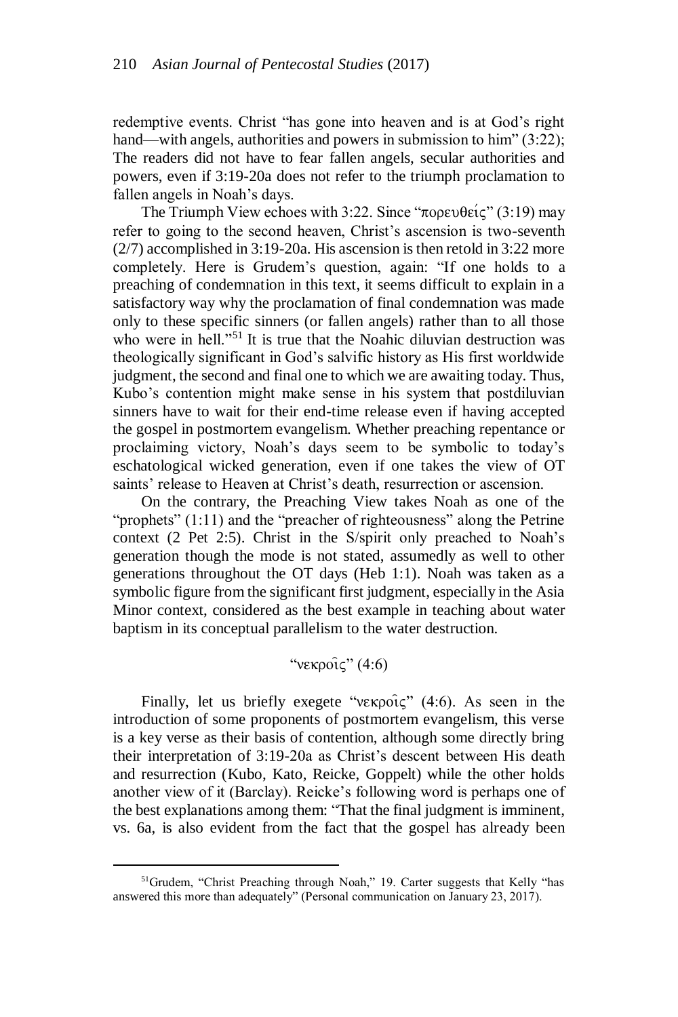redemptive events. Christ "has gone into heaven and is at God's right hand—with angels, authorities and powers in submission to him" (3:22); The readers did not have to fear fallen angels, secular authorities and powers, even if 3:19-20a does not refer to the triumph proclamation to fallen angels in Noah's days.

The Triumph View echoes with 3:22. Since " $\pi$ opev $\theta \in \mathcal{C}$ " (3:19) may refer to going to the second heaven, Christ's ascension is two-seventh (2/7) accomplished in 3:19-20a. His ascension is then retold in 3:22 more completely. Here is Grudem's question, again: "If one holds to a preaching of condemnation in this text, it seems difficult to explain in a satisfactory way why the proclamation of final condemnation was made only to these specific sinners (or fallen angels) rather than to all those who were in hell."<sup>51</sup> It is true that the Noahic diluvian destruction was theologically significant in God's salvific history as His first worldwide judgment, the second and final one to which we are awaiting today. Thus, Kubo's contention might make sense in his system that postdiluvian sinners have to wait for their end-time release even if having accepted the gospel in postmortem evangelism. Whether preaching repentance or proclaiming victory, Noah's days seem to be symbolic to today's eschatological wicked generation, even if one takes the view of OT saints' release to Heaven at Christ's death, resurrection or ascension.

On the contrary, the Preaching View takes Noah as one of the "prophets" (1:11) and the "preacher of righteousness" along the Petrine context (2 Pet 2:5). Christ in the S/spirit only preached to Noah's generation though the mode is not stated, assumedly as well to other generations throughout the OT days (Heb 1:1). Noah was taken as a symbolic figure from the significant first judgment, especially in the Asia Minor context, considered as the best example in teaching about water baptism in its conceptual parallelism to the water destruction.

# " $v \epsilon \kappa \rho o \hat{i} \zeta$ " (4:6)

Finally, let us briefly exegete " $v \in \mathcal{C}$ " (4:6). As seen in the introduction of some proponents of postmortem evangelism, this verse is a key verse as their basis of contention, although some directly bring their interpretation of 3:19-20a as Christ's descent between His death and resurrection (Kubo, Kato, Reicke, Goppelt) while the other holds another view of it (Barclay). Reicke's following word is perhaps one of the best explanations among them: "That the final judgment is imminent, vs. 6a, is also evident from the fact that the gospel has already been

<sup>&</sup>lt;sup>51</sup>Grudem, "Christ Preaching through Noah," 19. Carter suggests that Kelly "has answered this more than adequately" (Personal communication on January 23, 2017).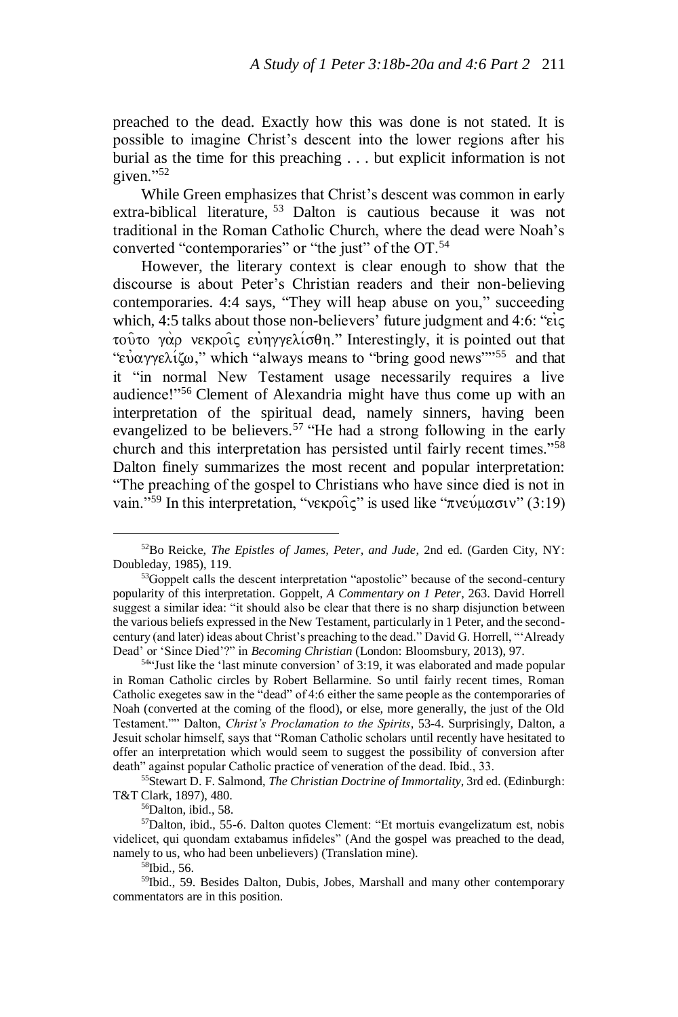preached to the dead. Exactly how this was done is not stated. It is possible to imagine Christ's descent into the lower regions after his burial as the time for this preaching . . . but explicit information is not given." 52

While Green emphasizes that Christ's descent was common in early extra-biblical literature, <sup>53</sup> Dalton is cautious because it was not traditional in the Roman Catholic Church, where the dead were Noah's converted "contemporaries" or "the just" of the OT.<sup>54</sup>

However, the literary context is clear enough to show that the discourse is about Peter's Christian readers and their non-believing contemporaries. 4:4 says, "They will heap abuse on you," succeeding which, 4:5 talks about those non-believers' future judgment and 4:6: " $\epsilon i \zeta$ τούτο γάρ νεκροίς εύηγγελίσθη." Interestingly, it is pointed out that "εύαγγελίζω," which "always means to "bring good news"<sup>55</sup> and that it "in normal New Testament usage necessarily requires a live audience!"<sup>56</sup> Clement of Alexandria might have thus come up with an interpretation of the spiritual dead, namely sinners, having been evangelized to be believers.<sup>57</sup> "He had a strong following in the early church and this interpretation has persisted until fairly recent times."<sup>58</sup> Dalton finely summarizes the most recent and popular interpretation: "The preaching of the gospel to Christians who have since died is not in vain."<sup>59</sup> In this interpretation, "νεκροίς" is used like "πνεύμασιν" (3:19)

<sup>55</sup>Stewart D. F. Salmond, *The Christian Doctrine of Immortality*, 3rd ed. (Edinburgh: T&T Clark, 1897), 480.

<sup>56</sup>Dalton, ibid., 58.

<sup>52</sup>Bo Reicke, *The Epistles of James, Peter, and Jude*, 2nd ed. (Garden City, NY: Doubleday, 1985), 119.

<sup>&</sup>lt;sup>53</sup>Goppelt calls the descent interpretation "apostolic" because of the second-century popularity of this interpretation. Goppelt, *A Commentary on 1 Peter*, 263. David Horrell suggest a similar idea: "it should also be clear that there is no sharp disjunction between the various beliefs expressed in the New Testament, particularly in 1 Peter, and the secondcentury (and later) ideas about Christ's preaching to the dead." David G. Horrell, "'Already Dead' or 'Since Died'?" in *Becoming Christian* (London: Bloomsbury, 2013), 97.

 $54$ "Just like the 'last minute conversion' of 3:19, it was elaborated and made popular in Roman Catholic circles by Robert Bellarmine. So until fairly recent times, Roman Catholic exegetes saw in the "dead" of 4:6 either the same people as the contemporaries of Noah (converted at the coming of the flood), or else, more generally, the just of the Old Testament."" Dalton, *Christ's Proclamation to the Spirits*, 53-4. Surprisingly, Dalton, a Jesuit scholar himself, says that "Roman Catholic scholars until recently have hesitated to offer an interpretation which would seem to suggest the possibility of conversion after death" against popular Catholic practice of veneration of the dead. Ibid., 33.

<sup>57</sup>Dalton, ibid., 55-6. Dalton quotes Clement: "Et mortuis evangelizatum est, nobis videlicet, qui quondam extabamus infideles" (And the gospel was preached to the dead, namely to us, who had been unbelievers) (Translation mine).

<sup>&</sup>lt;sup>58</sup>Ibid., 56.

<sup>59</sup>Ibid., 59. Besides Dalton, Dubis, Jobes, Marshall and many other contemporary commentators are in this position.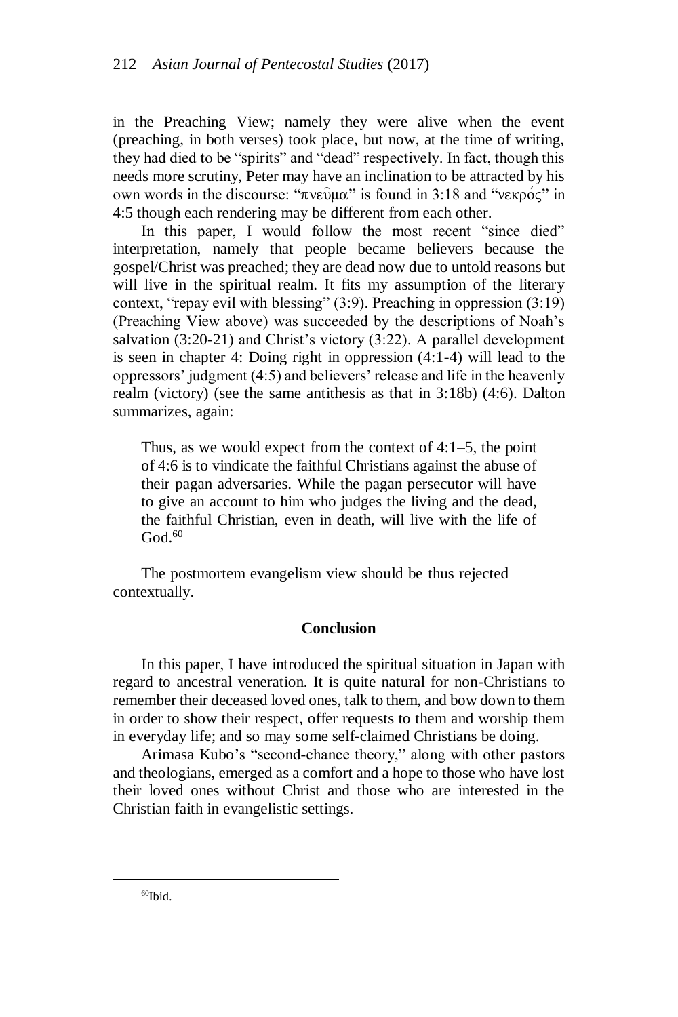in the Preaching View; namely they were alive when the event (preaching, in both verses) took place, but now, at the time of writing, they had died to be "spirits" and "dead" respectively. In fact, though this needs more scrutiny, Peter may have an inclination to be attracted by his own words in the discourse: "πνεῦμα" is found in 3:18 and "νεκρός" in 4:5 though each rendering may be different from each other.

In this paper, I would follow the most recent "since died" interpretation, namely that people became believers because the gospel/Christ was preached; they are dead now due to untold reasons but will live in the spiritual realm. It fits my assumption of the literary context, "repay evil with blessing" (3:9). Preaching in oppression (3:19) (Preaching View above) was succeeded by the descriptions of Noah's salvation (3:20-21) and Christ's victory (3:22). A parallel development is seen in chapter 4: Doing right in oppression (4:1-4) will lead to the oppressors' judgment (4:5) and believers' release and life in the heavenly realm (victory) (see the same antithesis as that in 3:18b) (4:6). Dalton summarizes, again:

Thus, as we would expect from the context of 4:1–5, the point of 4:6 is to vindicate the faithful Christians against the abuse of their pagan adversaries. While the pagan persecutor will have to give an account to him who judges the living and the dead, the faithful Christian, even in death, will live with the life of  $God.60$ 

The postmortem evangelism view should be thus rejected contextually.

#### **Conclusion**

In this paper, I have introduced the spiritual situation in Japan with regard to ancestral veneration. It is quite natural for non-Christians to remember their deceased loved ones, talk to them, and bow down to them in order to show their respect, offer requests to them and worship them in everyday life; and so may some self-claimed Christians be doing.

Arimasa Kubo's "second-chance theory," along with other pastors and theologians, emerged as a comfort and a hope to those who have lost their loved ones without Christ and those who are interested in the Christian faith in evangelistic settings.

 $60$ Ibid.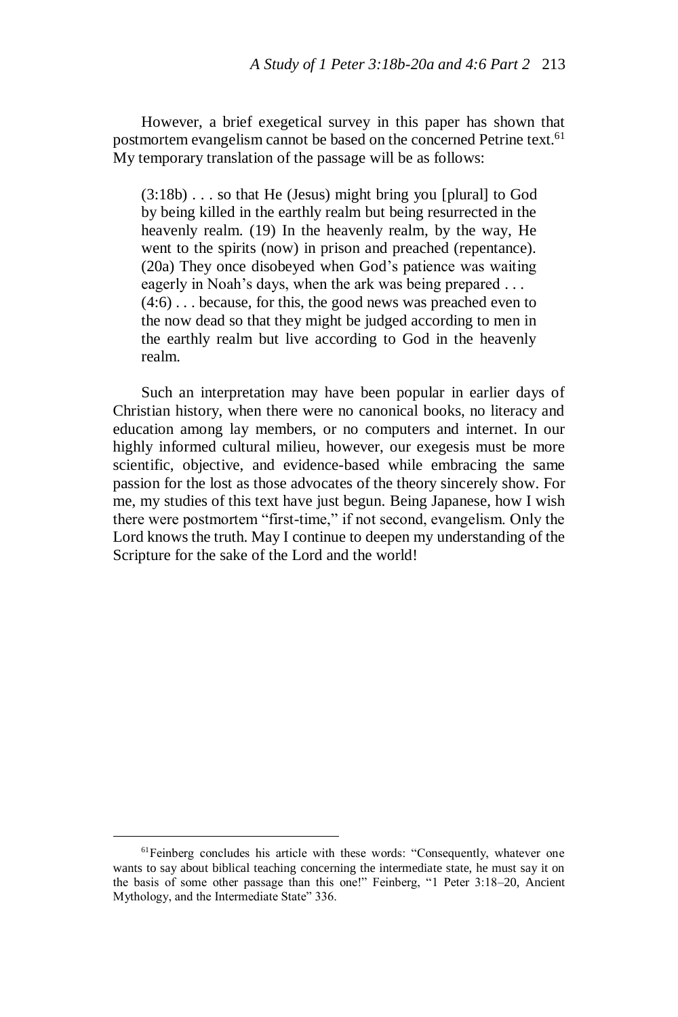However, a brief exegetical survey in this paper has shown that postmortem evangelism cannot be based on the concerned Petrine text.<sup>61</sup> My temporary translation of the passage will be as follows:

(3:18b) . . . so that He (Jesus) might bring you [plural] to God by being killed in the earthly realm but being resurrected in the heavenly realm. (19) In the heavenly realm, by the way, He went to the spirits (now) in prison and preached (repentance). (20a) They once disobeyed when God's patience was waiting eagerly in Noah's days, when the ark was being prepared ... (4:6) . . . because, for this, the good news was preached even to the now dead so that they might be judged according to men in the earthly realm but live according to God in the heavenly realm.

Such an interpretation may have been popular in earlier days of Christian history, when there were no canonical books, no literacy and education among lay members, or no computers and internet. In our highly informed cultural milieu, however, our exegesis must be more scientific, objective, and evidence-based while embracing the same passion for the lost as those advocates of the theory sincerely show. For me, my studies of this text have just begun. Being Japanese, how I wish there were postmortem "first-time," if not second, evangelism. Only the Lord knows the truth. May I continue to deepen my understanding of the Scripture for the sake of the Lord and the world!

<sup>&</sup>lt;sup>61</sup>Feinberg concludes his article with these words: "Consequently, whatever one wants to say about biblical teaching concerning the intermediate state, he must say it on the basis of some other passage than this one!" Feinberg, "1 Peter 3:18–20, Ancient Mythology, and the Intermediate State" 336.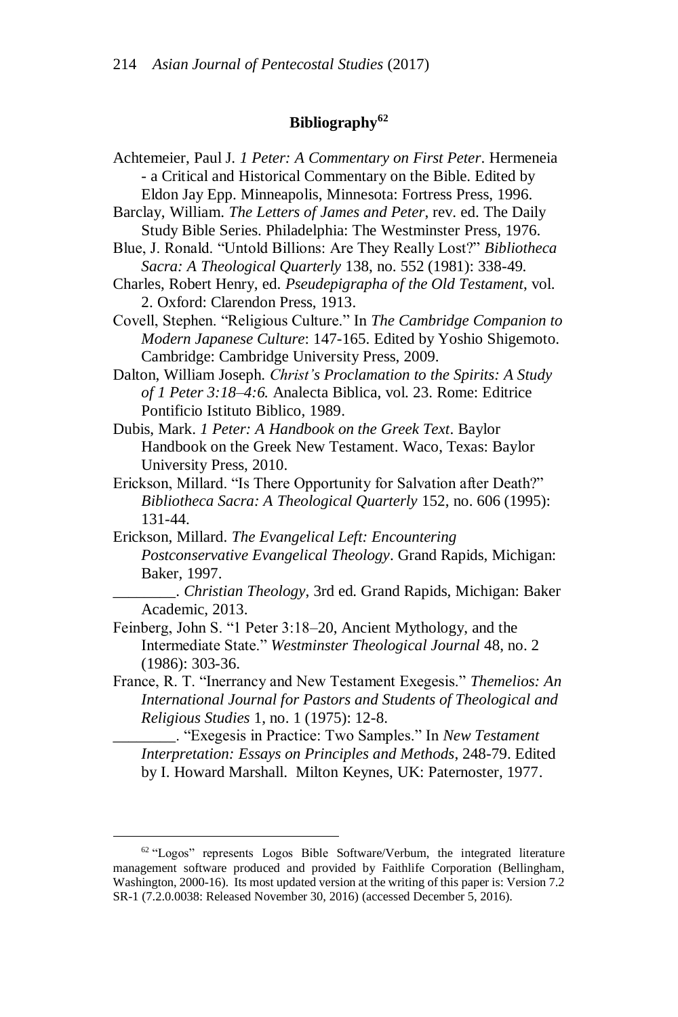### **Bibliography<sup>62</sup>**

- Achtemeier, Paul J. *1 Peter: A Commentary on First Peter*. Hermeneia - a Critical and Historical Commentary on the Bible. Edited by Eldon Jay Epp. Minneapolis, Minnesota: Fortress Press, 1996.
- Barclay, William. *The Letters of James and Peter*, rev. ed. The Daily Study Bible Series. Philadelphia: The Westminster Press, 1976.
- Blue, J. Ronald. "Untold Billions: Are They Really Lost?" *Bibliotheca Sacra: A Theological Quarterly* 138, no. 552 (1981): 338-49.
- Charles, Robert Henry, ed. *Pseudepigrapha of the Old Testament*, vol. 2. Oxford: Clarendon Press, 1913.
- Covell, Stephen. "Religious Culture." In *The Cambridge Companion to Modern Japanese Culture*: 147-165. Edited by Yoshio Shigemoto. Cambridge: Cambridge University Press, 2009.
- Dalton, William Joseph. *Christ's Proclamation to the Spirits: A Study of 1 Peter 3:18–4:6.* Analecta Biblica, vol. 23. Rome: Editrice Pontificio Istituto Biblico, 1989.
- Dubis, Mark. *1 Peter: A Handbook on the Greek Text*. Baylor Handbook on the Greek New Testament. Waco, Texas: Baylor University Press, 2010.
- Erickson, Millard. "Is There Opportunity for Salvation after Death?" *Bibliotheca Sacra: A Theological Quarterly* 152, no. 606 (1995): 131-44.
- Erickson, Millard. *The Evangelical Left: Encountering Postconservative Evangelical Theology*. Grand Rapids, Michigan: Baker, 1997.
	- \_\_\_\_\_\_\_\_. *Christian Theology*, 3rd ed. Grand Rapids, Michigan: Baker Academic, 2013.
- Feinberg, John S. "1 Peter 3:18–20, Ancient Mythology, and the Intermediate State." *Westminster Theological Journal* 48, no. 2 (1986): 303-36.
- France, R. T. "Inerrancy and New Testament Exegesis." *Themelios: An International Journal for Pastors and Students of Theological and Religious Studies* 1, no. 1 (1975): 12-8.

\_\_\_\_\_\_\_\_. "Exegesis in Practice: Two Samples." In *New Testament Interpretation: Essays on Principles and Methods*, 248-79. Edited by I. Howard Marshall. Milton Keynes, UK: Paternoster, 1977.

 $62$  "Logos" represents Logos Bible Software/Verbum, the integrated literature management software produced and provided by Faithlife Corporation (Bellingham, Washington, 2000-16). Its most updated version at the writing of this paper is: Version 7.2 SR-1 (7.2.0.0038: Released November 30, 2016) (accessed December 5, 2016).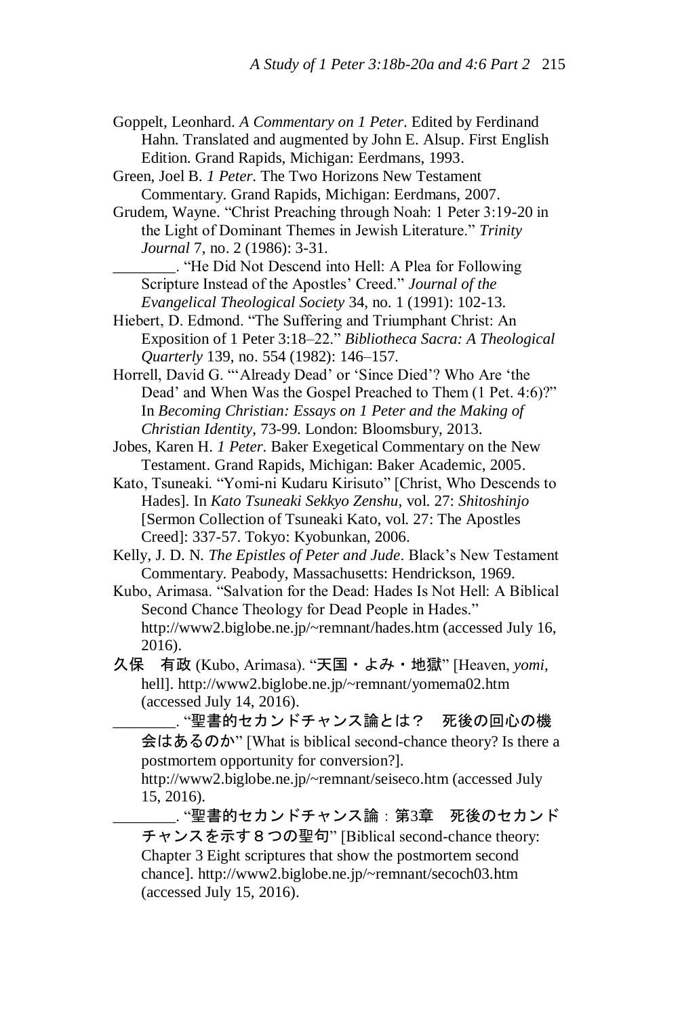- Goppelt, Leonhard. *A Commentary on 1 Peter*. Edited by Ferdinand Hahn. Translated and augmented by John E. Alsup. First English Edition. Grand Rapids, Michigan: Eerdmans, 1993.
- Green, Joel B. *1 Peter*. The Two Horizons New Testament Commentary. Grand Rapids, Michigan: Eerdmans, 2007.
- Grudem, Wayne. "Christ Preaching through Noah: 1 Peter 3:19-20 in the Light of Dominant Themes in Jewish Literature." *Trinity Journal* 7, no. 2 (1986): 3-31.
	- \_\_\_\_\_\_\_\_. "He Did Not Descend into Hell: A Plea for Following Scripture Instead of the Apostles' Creed." *Journal of the Evangelical Theological Society* 34, no. 1 (1991): 102-13.
- Hiebert, D. Edmond. "The Suffering and Triumphant Christ: An Exposition of 1 Peter 3:18–22." *Bibliotheca Sacra: A Theological Quarterly* 139, no. 554 (1982): 146–157.
- Horrell, David G. "'Already Dead' or 'Since Died'? Who Are 'the Dead' and When Was the Gospel Preached to Them (1 Pet. 4:6)?" In *Becoming Christian: Essays on 1 Peter and the Making of Christian Identity*, 73-99. London: Bloomsbury, 2013.
- Jobes, Karen H. *1 Peter*. Baker Exegetical Commentary on the New Testament. Grand Rapids, Michigan: Baker Academic, 2005.
- Kato, Tsuneaki. "Yomi-ni Kudaru Kirisuto" [Christ, Who Descends to Hades]. In *Kato Tsuneaki Sekkyo Zenshu,* vol. 27: *Shitoshinjo* [Sermon Collection of Tsuneaki Kato, vol. 27: The Apostles Creed]: 337-57. Tokyo: Kyobunkan, 2006.
- Kelly, J. D. N. *The Epistles of Peter and Jude*. Black's New Testament Commentary. Peabody, Massachusetts: Hendrickson, 1969.
- Kubo, Arimasa. "Salvation for the Dead: Hades Is Not Hell: A Biblical Second Chance Theology for Dead People in Hades." http://www2.biglobe.ne.jp/~remnant/hades.htm (accessed July 16, 2016).
- 久保 有政 (Kubo, Arimasa). "天国・よみ・地獄" [Heaven, *yomi*, hell]. http://www2.biglobe.ne.jp/~remnant/yomema02.htm (accessed July 14, 2016).

.. "聖書的セカンドチャンス論とは? 死後の回心の機 会はあるのか" [What is biblical second-chance theory? Is there a postmortem opportunity for conversion?].

http://www2.biglobe.ne.jp/~remnant/seiseco.htm (accessed July 15, 2016).

.. "聖書的セカンドチャンス論 : 第3章 死後のセカンド チャンスを示す8つの聖句" [Biblical second-chance theory: Chapter 3 Eight scriptures that show the postmortem second chance]. http://www2.biglobe.ne.jp/~remnant/secoch03.htm (accessed July 15, 2016).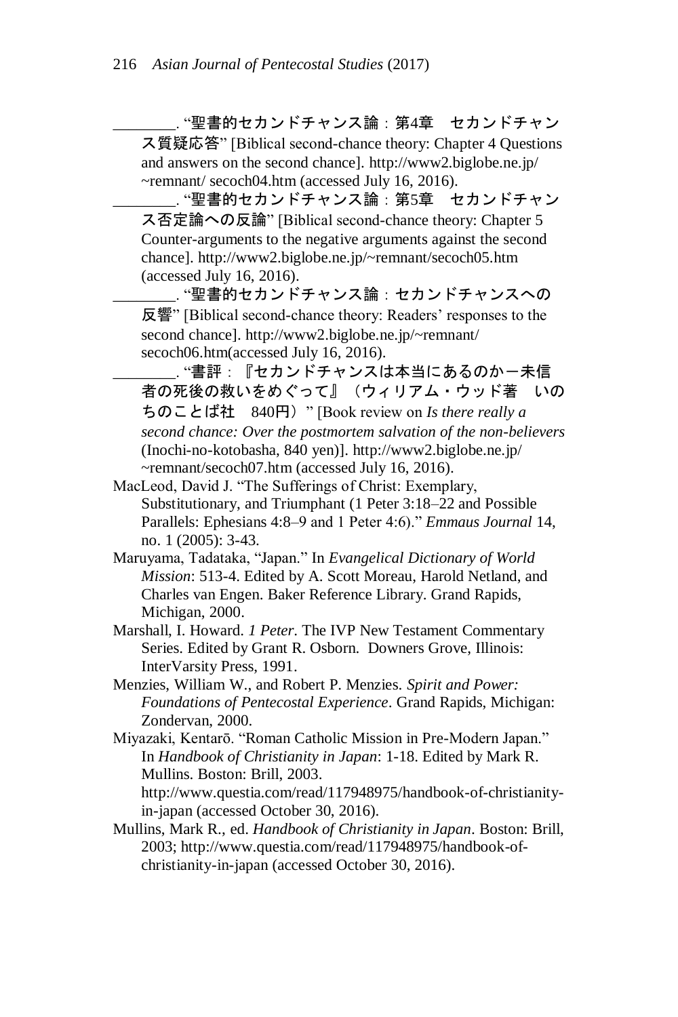\_\_\_\_\_\_\_\_. "聖書的セカンドチャンス論:第4章 セカンドチャン ス質疑応答" [Biblical second-chance theory: Chapter 4 Questions and answers on the second chance]. http://www2.biglobe.ne.jp/ ~remnant/ secoch04.htm (accessed July 16, 2016).

\_\_\_\_\_\_\_\_. "聖書的セカンドチャンス論:第5章 セカンドチャン ス否定論への反論" [Biblical second-chance theory: Chapter 5 Counter-arguments to the negative arguments against the second chance]. http://www2.biglobe.ne.jp/~remnant/secoch05.htm (accessed July 16, 2016).

\_\_ "聖書的セカンドチャンス論 : セカンドチャンスへの 反響" [Biblical second-chance theory: Readers' responses to the second chance]. http://www2.biglobe.ne.jp/~remnant/ secoch06.htm(accessed July 16, 2016).

. "書評: 『セカンドチャンスは本当にあるのか一未信 者の死後の救いをめぐって』(ウィリアム・ウッド著 いの ちのことば社 840円)" [Book review on *Is there really a second chance: Over the postmortem salvation of the non-believers* (Inochi-no-kotobasha, 840 yen)]. http://www2.biglobe.ne.jp/ ~remnant/secoch07.htm (accessed July 16, 2016).

- MacLeod, David J. "The Sufferings of Christ: Exemplary, Substitutionary, and Triumphant (1 Peter 3:18–22 and Possible Parallels: Ephesians 4:8–9 and 1 Peter 4:6)." *Emmaus Journal* 14, no. 1 (2005): 3-43.
- Maruyama, Tadataka, "Japan." In *Evangelical Dictionary of World Mission*: 513-4. Edited by A. Scott Moreau, Harold Netland, and Charles van Engen. Baker Reference Library. Grand Rapids, Michigan, 2000.
- Marshall, I. Howard. *1 Peter*. The IVP New Testament Commentary Series. Edited by Grant R. Osborn. Downers Grove, Illinois: InterVarsity Press, 1991.
- Menzies, William W., and Robert P. Menzies. *Spirit and Power: Foundations of Pentecostal Experience*. Grand Rapids, Michigan: Zondervan, 2000.
- Miyazaki, Kentarō. "Roman Catholic Mission in Pre-Modern Japan." In *Handbook of Christianity in Japan*: 1-18. Edited by Mark R. Mullins. Boston: Brill, 2003. http://www.questia.com/read/117948975/handbook-of-christianityin-japan (accessed October 30, 2016).
- Mullins, Mark R., ed. *Handbook of Christianity in Japan*. Boston: Brill, 2003; http://www.questia.com/read/117948975/handbook-ofchristianity-in-japan (accessed October 30, 2016).